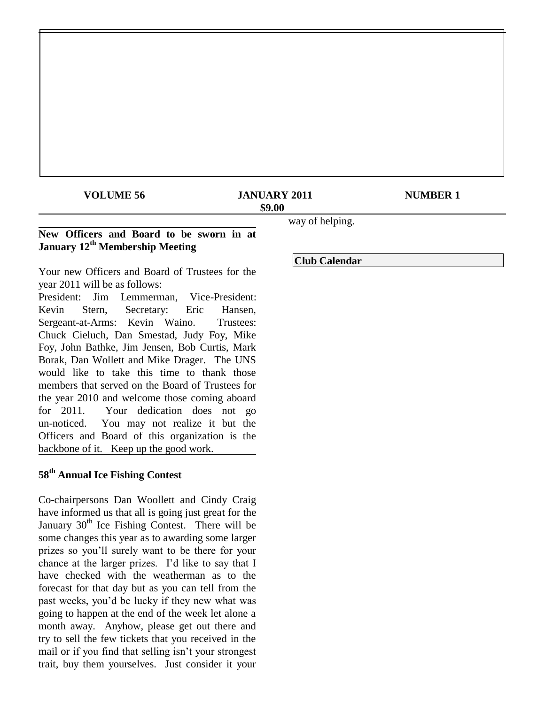# **VOLUME 56 JANUARY 2011 MUMBER 1 \$9.00**

## **New Officers and Board to be sworn in at January 12th Membership Meeting**

Your new Officers and Board of Trustees for the year 2011 will be as follows:

President: Jim Lemmerman, Vice-President: Kevin Stern, Secretary: Eric Hansen, Sergeant-at-Arms: Kevin Waino. Trustees: Chuck Cieluch, Dan Smestad, Judy Foy, Mike Foy, John Bathke, Jim Jensen, Bob Curtis, Mark Borak, Dan Wollett and Mike Drager. The UNS would like to take this time to thank those members that served on the Board of Trustees for the year 2010 and welcome those coming aboard for 2011. Your dedication does not go un-noticed. You may not realize it but the Officers and Board of this organization is the backbone of it. Keep up the good work.

# **58th Annual Ice Fishing Contest**

Co-chairpersons Dan Woollett and Cindy Craig have informed us that all is going just great for the January  $30<sup>th</sup>$  Ice Fishing Contest. There will be some changes this year as to awarding some larger prizes so you"ll surely want to be there for your chance at the larger prizes. I"d like to say that I have checked with the weatherman as to the forecast for that day but as you can tell from the past weeks, you"d be lucky if they new what was going to happen at the end of the week let alone a month away. Anyhow, please get out there and try to sell the few tickets that you received in the mail or if you find that selling isn"t your strongest trait, buy them yourselves. Just consider it your way of helping.

## **Club Calendar**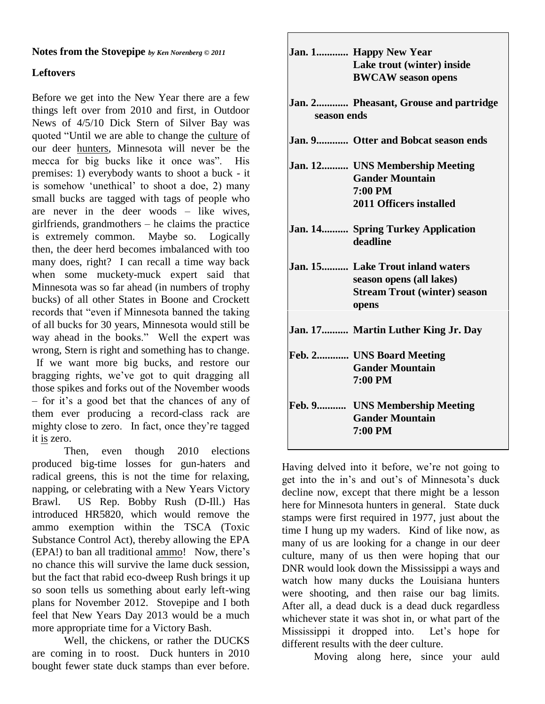## **Notes from the Stovepipe** *by Ken Norenberg © 2011*

# **Leftovers**

Before we get into the New Year there are a few things left over from 2010 and first, in Outdoor News of 4/5/10 Dick Stern of Silver Bay was quoted "Until we are able to change the culture of our deer hunters, Minnesota will never be the mecca for big bucks like it once was". His premises: 1) everybody wants to shoot a buck - it is somehow "unethical" to shoot a doe, 2) many small bucks are tagged with tags of people who are never in the deer woods – like wives, girlfriends, grandmothers – he claims the practice is extremely common. Maybe so. Logically then, the deer herd becomes imbalanced with too many does, right? I can recall a time way back when some muckety-muck expert said that Minnesota was so far ahead (in numbers of trophy bucks) of all other States in Boone and Crockett records that "even if Minnesota banned the taking of all bucks for 30 years, Minnesota would still be way ahead in the books." Well the expert was wrong, Stern is right and something has to change. If we want more big bucks, and restore our bragging rights, we"ve got to quit dragging all those spikes and forks out of the November woods – for it"s a good bet that the chances of any of them ever producing a record-class rack are mighty close to zero. In fact, once they"re tagged it is zero.

Then, even though 2010 elections produced big-time losses for gun-haters and radical greens, this is not the time for relaxing, napping, or celebrating with a New Years Victory Brawl. US Rep. Bobby Rush (D-Ill.) Has introduced HR5820, which would remove the ammo exemption within the TSCA (Toxic Substance Control Act), thereby allowing the EPA (EPA!) to ban all traditional ammo! Now, there"s no chance this will survive the lame duck session, but the fact that rabid eco-dweep Rush brings it up so soon tells us something about early left-wing plans for November 2012. Stovepipe and I both feel that New Years Day 2013 would be a much more appropriate time for a Victory Bash.

Well, the chickens, or rather the DUCKS are coming in to roost. Duck hunters in 2010 bought fewer state duck stamps than ever before.

|             | Jan. 1 Happy New Year<br>Lake trout (winter) inside<br><b>BWCAW</b> season opens                             |
|-------------|--------------------------------------------------------------------------------------------------------------|
| season ends | Jan. 2 Pheasant, Grouse and partridge                                                                        |
|             | Jan. 9 Otter and Bobcat season ends                                                                          |
|             | Jan. 12 UNS Membership Meeting<br><b>Gander Mountain</b><br>7:00 PM<br>2011 Officers installed               |
|             | Jan. 14 Spring Turkey Application<br>deadline                                                                |
|             | Jan. 15 Lake Trout inland waters<br>season opens (all lakes)<br><b>Stream Trout (winter) season</b><br>opens |
|             | Jan. 17 Martin Luther King Jr. Day                                                                           |
|             | Feb. 2 UNS Board Meeting<br><b>Gander Mountain</b><br>7:00 PM                                                |
|             | Feb. 9 UNS Membership Meeting<br><b>Gander Mountain</b><br>7:00 PM                                           |

Having delved into it before, we're not going to get into the in"s and out"s of Minnesota"s duck decline now, except that there might be a lesson here for Minnesota hunters in general. State duck stamps were first required in 1977, just about the time I hung up my waders. Kind of like now, as many of us are looking for a change in our deer culture, many of us then were hoping that our DNR would look down the Mississippi a ways and watch how many ducks the Louisiana hunters were shooting, and then raise our bag limits. After all, a dead duck is a dead duck regardless whichever state it was shot in, or what part of the Mississippi it dropped into. Let's hope for different results with the deer culture.

Moving along here, since your auld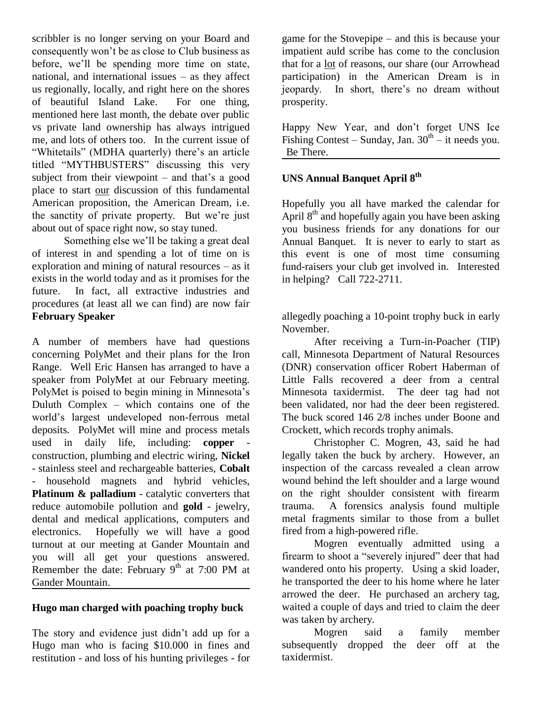scribbler is no longer serving on your Board and consequently won"t be as close to Club business as before, we"ll be spending more time on state, national, and international issues – as they affect us regionally, locally, and right here on the shores of beautiful Island Lake. For one thing, mentioned here last month, the debate over public vs private land ownership has always intrigued me, and lots of others too. In the current issue of "Whitetails" (MDHA quarterly) there"s an article titled "MYTHBUSTERS" discussing this very subject from their viewpoint  $-$  and that's a good place to start our discussion of this fundamental American proposition, the American Dream, i.e. the sanctity of private property. But we"re just about out of space right now, so stay tuned.

Something else we"ll be taking a great deal of interest in and spending a lot of time on is exploration and mining of natural resources – as it exists in the world today and as it promises for the future. In fact, all extractive industries and procedures (at least all we can find) are now fair **February Speaker**

A number of members have had questions concerning PolyMet and their plans for the Iron Range. Well Eric Hansen has arranged to have a speaker from PolyMet at our February meeting. PolyMet is poised to begin mining in Minnesota's Duluth Complex – which contains one of the world"s largest undeveloped non-ferrous metal deposits. PolyMet will mine and process metals used in daily life, including: **copper** construction, plumbing and electric wiring, **Nickel** - stainless steel and rechargeable batteries, **Cobalt** - household magnets and hybrid vehicles, **Platinum & palladium** - catalytic converters that reduce automobile pollution and **gold** - jewelry, dental and medical applications, computers and electronics. Hopefully we will have a good turnout at our meeting at Gander Mountain and you will all get your questions answered. Remember the date: February  $9<sup>th</sup>$  at 7:00 PM at Gander Mountain.

## **Hugo man charged with poaching trophy buck**

The story and evidence just didn"t add up for a Hugo man who is facing \$10.000 in fines and restitution - and loss of his hunting privileges - for game for the Stovepipe – and this is because your impatient auld scribe has come to the conclusion that for a lot of reasons, our share (our Arrowhead participation) in the American Dream is in jeopardy. In short, there"s no dream without prosperity.

Happy New Year, and don"t forget UNS Ice Fishing Contest – Sunday, Jan.  $30<sup>th</sup>$  – it needs you. Be There.

# **UNS Annual Banquet April 8th**

Hopefully you all have marked the calendar for April  $8<sup>th</sup>$  and hopefully again you have been asking you business friends for any donations for our Annual Banquet. It is never to early to start as this event is one of most time consuming fund-raisers your club get involved in. Interested in helping? Call 722-2711.

allegedly poaching a 10-point trophy buck in early November.

After receiving a Turn-in-Poacher (TIP) call, Minnesota Department of Natural Resources (DNR) conservation officer Robert Haberman of Little Falls recovered a deer from a central Minnesota taxidermist. The deer tag had not been validated, nor had the deer been registered. The buck scored 146 2/8 inches under Boone and Crockett, which records trophy animals.

Christopher C. Mogren, 43, said he had legally taken the buck by archery. However, an inspection of the carcass revealed a clean arrow wound behind the left shoulder and a large wound on the right shoulder consistent with firearm trauma. A forensics analysis found multiple metal fragments similar to those from a bullet fired from a high-powered rifle.

Mogren eventually admitted using a firearm to shoot a "severely injured" deer that had wandered onto his property. Using a skid loader, he transported the deer to his home where he later arrowed the deer. He purchased an archery tag, waited a couple of days and tried to claim the deer was taken by archery.

Mogren said a family member subsequently dropped the deer off at the taxidermist.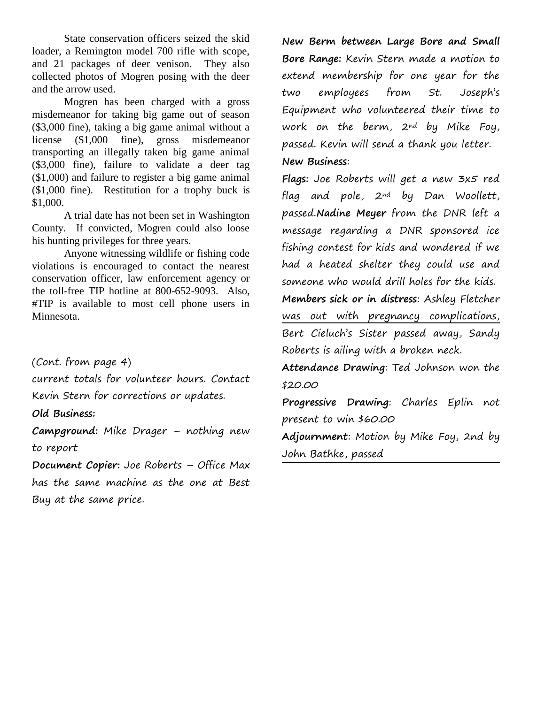State conservation officers seized the skid loader, a Remington model 700 rifle with scope, and 21 packages of deer venison. They also collected photos of Mogren posing with the deer and the arrow used.

Mogren has been charged with a gross misdemeanor for taking big game out of season (\$3,000 fine), taking a big game animal without a license (\$1,000 fine), gross misdemeanor transporting an illegally taken big game animal (\$3,000 fine), failure to validate a deer tag (\$1,000) and failure to register a big game animal (\$1,000 fine). Restitution for a trophy buck is \$1,000.

A trial date has not been set in Washington County. If convicted, Mogren could also loose his hunting privileges for three years.

Anyone witnessing wildlife or fishing code violations is encouraged to contact the nearest conservation officer, law enforcement agency or the toll-free TIP hotline at 800-652-9093. Also, #TIP is available to most cell phone users in Minnesota.

(Cont. from page 4)

current totals for volunteer hours. Contact Kevin Stern for corrections or updates.

**Old Business:**

**Campground:** Mike Drager – nothing new to report

**Document Copier:** Joe Roberts – Office Max has the same machine as the one at Best Buy at the same price.

**New Berm between Large Bore and Small Bore Range:** Kevin Stern made a motion to extend membership for one year for the two employees from St. Joseph's Equipment who volunteered their time to work on the berm, 2nd by Mike Foy, passed. Kevin will send a thank you letter. **New Business**:

**Flags:** Joe Roberts will get a new 3x5 red flag and pole, 2nd by Dan Woollett, passed.**Nadine Meyer** from the DNR left a message regarding a DNR sponsored ice fishing contest for kids and wondered if we had a heated shelter they could use and someone who would drill holes for the kids.

**Members sick or in distress**: Ashley Fletcher was out with pregnancy complications, Bert Cieluch's Sister passed away, Sandy Roberts is ailing with a broken neck.

**Attendance Drawing**: Ted Johnson won the \$20.00

**Progressive Drawing**: Charles Eplin not present to win \$60.00

**Adjournment**: Motion by Mike Foy, 2nd by John Bathke, passed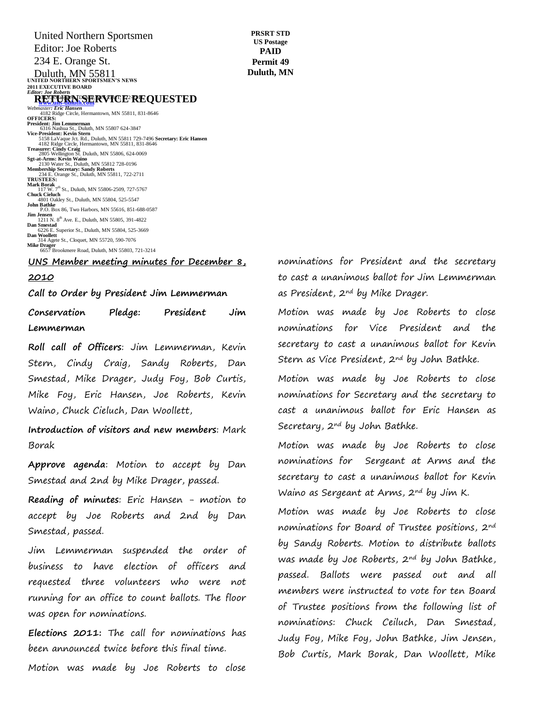Duluth, MN 55811<br>
UNITED NORTHERN SPORTSMEN'S NEWS **2011 EXECUTIVE BOARD** *Editor: Joe Roberts* **RETURNSERVICE REQUESTED Webmaster: Eric Hansen**<br> *Webmaster: Eric Hansen*<br>
4182 Ridge Circle, Hermantown, MN 55811, 831-8646<br> **OFFICERS:** President: Jim Lemmerman<br>6316 Nashua St., Duluth, MN 55807 624-3847<br>Vice-President: Kevin Stern<br>5158 LaVaque Jct. Rd., Duluth, MN 55811 729-7496 Secretary: Eric Hansen<br>4182 Ridge Circle, Hermantown, MN 55811, 831-8646 **Treasurer: Cindy Craig** 2805 Wellington St. Duluth, MN 55806, 624-0069 **Sgt-at-Arms: Kevin Waino** 2130 Water St., Duluth, MN 55812 728-0196 **Membership Secretary: Sandy Roberts** 234 E. Orange St., Duluth, MN 55811, 722-2711 **TRUSTEES: Mark Borak**<br>117 W. 7<sup>th</sup> St., Duluth, MN 55806-2509, 727-5767 **Chuck Cieluch** 4801 Oakley St., Duluth, MN 55804, 525-5547 **John Bathke** P.O. Box 86, Two Harbors, MN 55616, 851-688-0587 United Northern Sportsmen Editor: Joe Roberts 234 E. Orange St.

**PRSRT STD US Postage PAID Permit 49 Duluth, MN**

**Jim Jensen**<br>
1211 N. 8<sup>th</sup> Ave. E., Duluth, MN 55805, 391-4822<br> **Dan Smestad Smestad**<br>6226 E. Superior St., Duluth, MN 55804, 525-3669 **Dan Woollett** 314 Agete St., Cloquet, MN 55720, 590-7076 **Mike Drager**<br>
6657 Brookmere Road, Duluth, MN 55803, 721-3214

## <u>UNS Member meeting minutes for December 8,</u>

#### **2010**

Call to Order by President Jim Lemmerman

th St., Duluth, MN 55806, 727-98333

306 W. Arrowhead Road, Duluth, MN 55803, 728-3373

Conservation Pledge: President Jim **Lemmerman**

**Roll call of Officers**: Jim Lemmerman, Kevin Stern, Cindy Craig, Sandy Roberts, Dan Smestad, Mike Drager, Judy Foy, Bob Curtis, Mike Foy, Eric Hansen, Joe Roberts, Kevin Waino, Chuck Cieluch, Dan Woollett,

**Introduction of visitors and new members**: Mark Borak

**Approve agenda**: Motion to accept by Dan Smestad and 2nd by Mike Drager, passed.

**Reading of minutes**: Eric Hansen - motion to accept by Joe Roberts and 2nd by Dan Smestad, passed.

Jim Lemmerman suspended the order of business to have election of officers and requested three volunteers who were not running for an office to count ballots. The floor was open for nominations.

**Elections 2011:** The call for nominations has been announced twice before this final time.

Motion was made by Joe Roberts to close

nominations for President and the secretary to cast a unanimous ballot for Jim Lemmerman as President, 2<sup>nd</sup> by Mike Drager.

Motion was made by Joe Roberts to close nominations for Vice President and the secretary to cast a unanimous ballot for Kevin Stern as Vice President, 2<sup>nd</sup> by John Bathke.

Motion was made by Joe Roberts to close nominations for Secretary and the secretary to cast a unanimous ballot for Eric Hansen as Secretary, 2nd by John Bathke.

Motion was made by Joe Roberts to close nominations for Sergeant at Arms and the secretary to cast a unanimous ballot for Kevin Waino as Sergeant at Arms, 2nd by Jim K.

Motion was made by Joe Roberts to close nominations for Board of Trustee positions, 2nd by Sandy Roberts. Motion to distribute ballots was made by Joe Roberts, 2nd by John Bathke, passed. Ballots were passed out and all members were instructed to vote for ten Board of Trustee positions from the following list of nominations: Chuck Ceiluch, Dan Smestad, Judy Foy, Mike Foy, John Bathke, Jim Jensen, Bob Curtis, Mark Borak, Dan Woollett, Mike